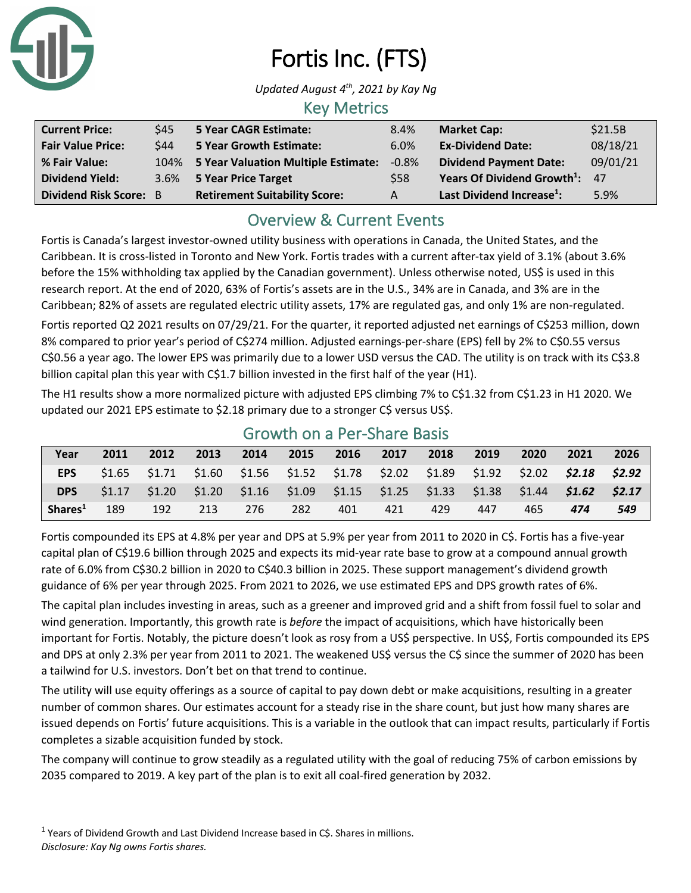

# Fortis Inc. (FTS)

*Updated August 4th, 2021 by Kay Ng*

### Key Metrics

| <b>Current Price:</b>    | \$45        | <b>5 Year CAGR Estimate:</b>         | 8.4%    | <b>Market Cap:</b>                         | \$21.5B  |
|--------------------------|-------------|--------------------------------------|---------|--------------------------------------------|----------|
| <b>Fair Value Price:</b> | <b>\$44</b> | <b>5 Year Growth Estimate:</b>       | 6.0%    | <b>Ex-Dividend Date:</b>                   | 08/18/21 |
| % Fair Value:            | 104%        | 5 Year Valuation Multiple Estimate:  | $-0.8%$ | <b>Dividend Payment Date:</b>              | 09/01/21 |
| <b>Dividend Yield:</b>   |             | 3.6% 5 Year Price Target             | \$58    | Years Of Dividend Growth <sup>1</sup> : 47 |          |
| Dividend Risk Score: B   |             | <b>Retirement Suitability Score:</b> | А       | Last Dividend Increase <sup>1</sup> :      | 5.9%     |

## Overview & Current Events

Fortis is Canada's largest investor-owned utility business with operations in Canada, the United States, and the Caribbean. It is cross-listed in Toronto and New York. Fortis trades with a current after-tax yield of 3.1% (about 3.6% before the 15% withholding tax applied by the Canadian government). Unless otherwise noted, US\$ is used in this research report. At the end of 2020, 63% of Fortis's assets are in the U.S., 34% are in Canada, and 3% are in the Caribbean; 82% of assets are regulated electric utility assets, 17% are regulated gas, and only 1% are non-regulated.

Fortis reported Q2 2021 results on 07/29/21. For the quarter, it reported adjusted net earnings of C\$253 million, down 8% compared to prior year's period of C\$274 million. Adjusted earnings-per-share (EPS) fell by 2% to C\$0.55 versus C\$0.56 a year ago. The lower EPS was primarily due to a lower USD versus the CAD. The utility is on track with its C\$3.8 billion capital plan this year with C\$1.7 billion invested in the first half of the year (H1).

The H1 results show a more normalized picture with adjusted EPS climbing 7% to C\$1.32 from C\$1.23 in H1 2020. We updated our 2021 EPS estimate to \$2.18 primary due to a stronger C\$ versus US\$.

| Year                | 2011 | 2012                                                                                            | 2013 | 2014 | 2015 | 2016 | 2017 | 2018 | 2019 | 2020 | 2021 | 2026 |
|---------------------|------|-------------------------------------------------------------------------------------------------|------|------|------|------|------|------|------|------|------|------|
| <b>EPS</b>          |      | $$1.65$ $$1.71$ $$1.60$ $$1.56$ $$1.52$ $$1.78$ $$2.02$ $$1.89$ $$1.92$ $$2.02$ $$2.18$ $$2.92$ |      |      |      |      |      |      |      |      |      |      |
| DPS                 |      | $$1.17$ $$1.20$ $$1.20$ $$1.16$ $$1.09$ $$1.15$ $$1.25$ $$1.33$ $$1.38$ $$1.44$ $$1.62$ $$2.17$ |      |      |      |      |      |      |      |      |      |      |
| Shares <sup>1</sup> | 189  | 192                                                                                             | 213  | 276  | 282  | 401  | 421  | 429  | 447  | 465  | 474  | 549  |

#### Growth on a Per-Share Basis

Fortis compounded its EPS at 4.8% per year and DPS at 5.9% per year from 2011 to 2020 in C\$. Fortis has a five-year capital plan of C\$19.6 billion through 2025 and expects its mid-year rate base to grow at a compound annual growth rate of 6.0% from C\$30.2 billion in 2020 to C\$40.3 billion in 2025. These support management's dividend growth guidance of 6% per year through 2025. From 2021 to 2026, we use estimated EPS and DPS growth rates of 6%.

The capital plan includes investing in areas, such as a greener and improved grid and a shift from fossil fuel to solar and wind generation. Importantly, this growth rate is *before* the impact of acquisitions, which have historically been important for Fortis. Notably, the picture doesn't look as rosy from a US\$ perspective. In US\$, Fortis compounded its EPS and DPS at only 2.3% per year from 2011 to 2021. The weakened US\$ versus the C\$ since the summer of 2020 has been a tailwind for U.S. investors. Don't bet on that trend to continue.

The utility will use equity offerings as a source of capital to pay down debt or make acquisitions, resulting in a greater number of common shares. Our estimates account for a steady rise in the share count, but just how many shares are issued depends on Fortis' future acquisitions. This is a variable in the outlook that can impact results, particularly if Fortis completes a sizable acquisition funded by stock.

The company will continue to grow steadily as a regulated utility with the goal of reducing 75% of carbon emissions by 2035 compared to 2019. A key part of the plan is to exit all coal-fired generation by 2032.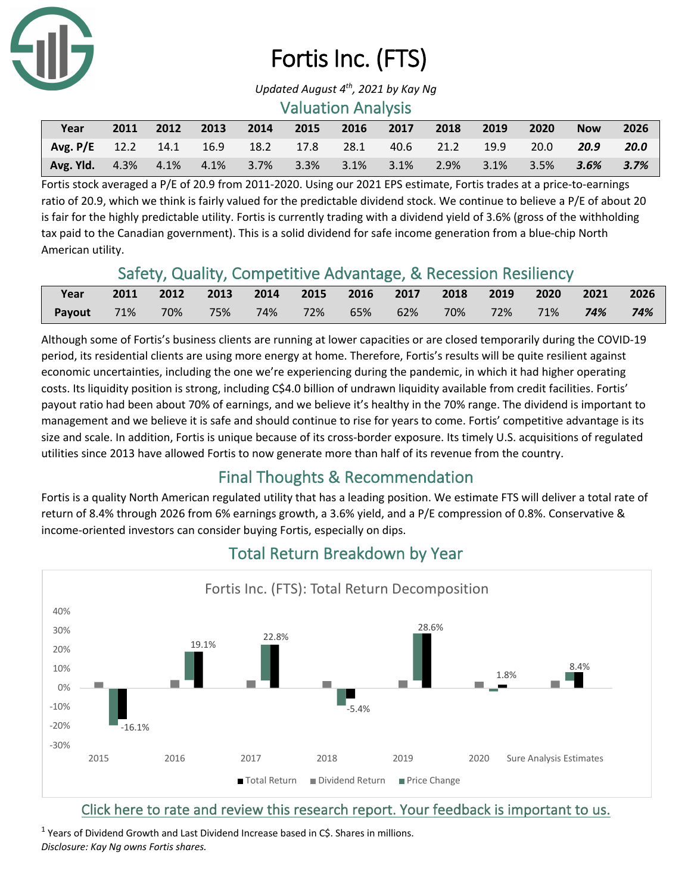

# Fortis Inc. (FTS)

#### Valuation Analysis

| Year                                                                  | 2011 |  | 2012 2013 2014 2015 2016 2017 |  | $-2018$ | 2019 | 2020 | <b>Now</b> | 2026 |
|-----------------------------------------------------------------------|------|--|-------------------------------|--|---------|------|------|------------|------|
| Avg. P/E 12.2 14.1 16.9 18.2 17.8 28.1 40.6 21.2 19.9 20.0            |      |  |                               |  |         |      |      | 20.9       | 20.0 |
| Avg. Yld. 4.3% 4.1% 4.1% 3.7% 3.3% 3.1% 3.1% 2.9% 3.1% 3.5% 3.6% 3.7% |      |  |                               |  |         |      |      |            |      |

Fortis stock averaged a P/E of 20.9 from 2011-2020. Using our 2021 EPS estimate, Fortis trades at a price-to-earnings ratio of 20.9, which we think is fairly valued for the predictable dividend stock. We continue to believe a P/E of about 20 is fair for the highly predictable utility. Fortis is currently trading with a dividend yield of 3.6% (gross of the withholding tax paid to the Canadian government). This is a solid dividend for safe income generation from a blue-chip North American utility.

## Safety, Quality, Competitive Advantage, & Recession Resiliency

| Year               | 2011 2012 2013 2014 2015 2016 2017 2018 2019 2020 2021 2026 |  |  |                                        |  |     |
|--------------------|-------------------------------------------------------------|--|--|----------------------------------------|--|-----|
| Payout 71% 70% 75% |                                                             |  |  | 74% 72% 65% 62% 70% 72% 71% <b>74%</b> |  | 74% |

Although some of Fortis's business clients are running at lower capacities or are closed temporarily during the COVID-19 period, its residential clients are using more energy at home. Therefore, Fortis's results will be quite resilient against economic uncertainties, including the one we're experiencing during the pandemic, in which it had higher operating costs. Its liquidity position is strong, including C\$4.0 billion of undrawn liquidity available from credit facilities. Fortis' payout ratio had been about 70% of earnings, and we believe it's healthy in the 70% range. The dividend is important to management and we believe it is safe and should continue to rise for years to come. Fortis' competitive advantage is its size and scale. In addition, Fortis is unique because of its cross-border exposure. Its timely U.S. acquisitions of regulated utilities since 2013 have allowed Fortis to now generate more than half of its revenue from the country.

## Final Thoughts & Recommendation

Fortis is a quality North American regulated utility that has a leading position. We estimate FTS will deliver a total rate of return of 8.4% through 2026 from 6% earnings growth, a 3.6% yield, and a P/E compression of 0.8%. Conservative & income-oriented investors can consider buying Fortis, especially on dips.



## Total Return Breakdown by Year

#### Click here to rate and review this research report. Your feedback is important to us.

 $1$  Years of Dividend Growth and Last Dividend Increase based in C\$. Shares in millions. *Disclosure: Kay Ng owns Fortis shares.*

*Updated August 4th, 2021 by Kay Ng*